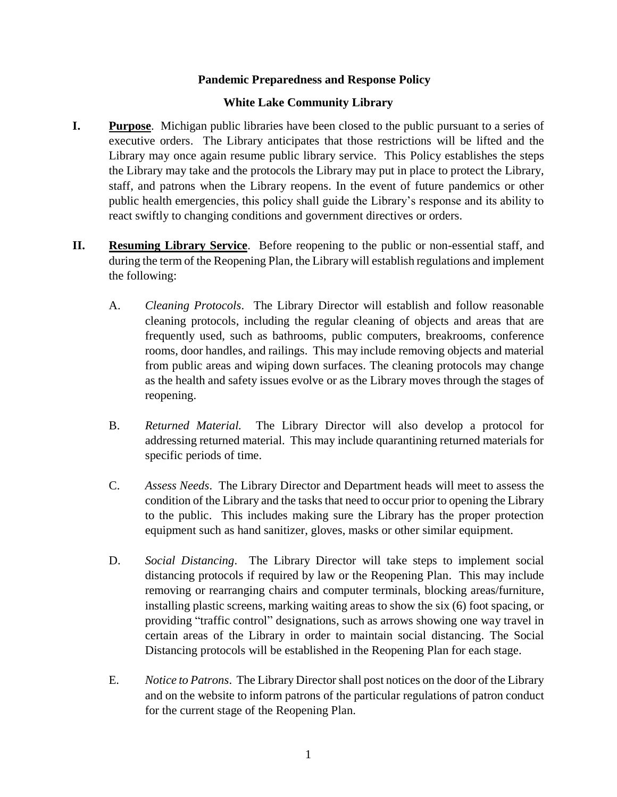## **Pandemic Preparedness and Response Policy**

## **White Lake Community Library**

- **I. Purpose**. Michigan public libraries have been closed to the public pursuant to a series of executive orders. The Library anticipates that those restrictions will be lifted and the Library may once again resume public library service. This Policy establishes the steps the Library may take and the protocols the Library may put in place to protect the Library, staff, and patrons when the Library reopens. In the event of future pandemics or other public health emergencies, this policy shall guide the Library's response and its ability to react swiftly to changing conditions and government directives or orders.
- **II. Resuming Library Service**. Before reopening to the public or non-essential staff, and during the term of the Reopening Plan, the Library will establish regulations and implement the following:
	- A. *Cleaning Protocols*. The Library Director will establish and follow reasonable cleaning protocols, including the regular cleaning of objects and areas that are frequently used, such as bathrooms, public computers, breakrooms, conference rooms, door handles, and railings. This may include removing objects and material from public areas and wiping down surfaces. The cleaning protocols may change as the health and safety issues evolve or as the Library moves through the stages of reopening.
	- B. *Returned Material.* The Library Director will also develop a protocol for addressing returned material. This may include quarantining returned materials for specific periods of time.
	- C. *Assess Needs*. The Library Director and Department heads will meet to assess the condition of the Library and the tasks that need to occur prior to opening the Library to the public. This includes making sure the Library has the proper protection equipment such as hand sanitizer, gloves, masks or other similar equipment.
	- D. *Social Distancing*. The Library Director will take steps to implement social distancing protocols if required by law or the Reopening Plan. This may include removing or rearranging chairs and computer terminals, blocking areas/furniture, installing plastic screens, marking waiting areas to show the six (6) foot spacing, or providing "traffic control" designations, such as arrows showing one way travel in certain areas of the Library in order to maintain social distancing. The Social Distancing protocols will be established in the Reopening Plan for each stage.
	- E. *Notice to Patrons*. The Library Director shall post notices on the door of the Library and on the website to inform patrons of the particular regulations of patron conduct for the current stage of the Reopening Plan.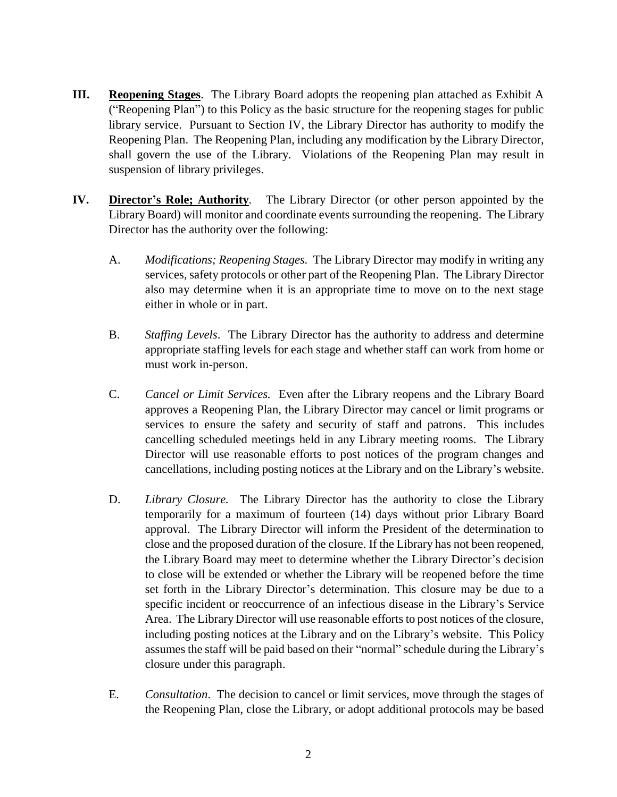- **III. Reopening Stages**. The Library Board adopts the reopening plan attached as Exhibit A ("Reopening Plan") to this Policy as the basic structure for the reopening stages for public library service. Pursuant to Section IV, the Library Director has authority to modify the Reopening Plan. The Reopening Plan, including any modification by the Library Director, shall govern the use of the Library. Violations of the Reopening Plan may result in suspension of library privileges.
- **IV. Director's Role; Authority***.* The Library Director (or other person appointed by the Library Board) will monitor and coordinate events surrounding the reopening. The Library Director has the authority over the following:
	- A. *Modifications; Reopening Stages.* The Library Director may modify in writing any services, safety protocols or other part of the Reopening Plan. The Library Director also may determine when it is an appropriate time to move on to the next stage either in whole or in part.
	- B. *Staffing Levels*. The Library Director has the authority to address and determine appropriate staffing levels for each stage and whether staff can work from home or must work in-person.
	- C. *Cancel or Limit Services.* Even after the Library reopens and the Library Board approves a Reopening Plan, the Library Director may cancel or limit programs or services to ensure the safety and security of staff and patrons. This includes cancelling scheduled meetings held in any Library meeting rooms. The Library Director will use reasonable efforts to post notices of the program changes and cancellations, including posting notices at the Library and on the Library's website.
	- D. *Library Closure.* The Library Director has the authority to close the Library temporarily for a maximum of fourteen (14) days without prior Library Board approval. The Library Director will inform the President of the determination to close and the proposed duration of the closure. If the Library has not been reopened, the Library Board may meet to determine whether the Library Director's decision to close will be extended or whether the Library will be reopened before the time set forth in the Library Director's determination. This closure may be due to a specific incident or reoccurrence of an infectious disease in the Library's Service Area. The Library Director will use reasonable efforts to post notices of the closure, including posting notices at the Library and on the Library's website. This Policy assumes the staff will be paid based on their "normal" schedule during the Library's closure under this paragraph.
	- E. *Consultation*. The decision to cancel or limit services, move through the stages of the Reopening Plan, close the Library, or adopt additional protocols may be based